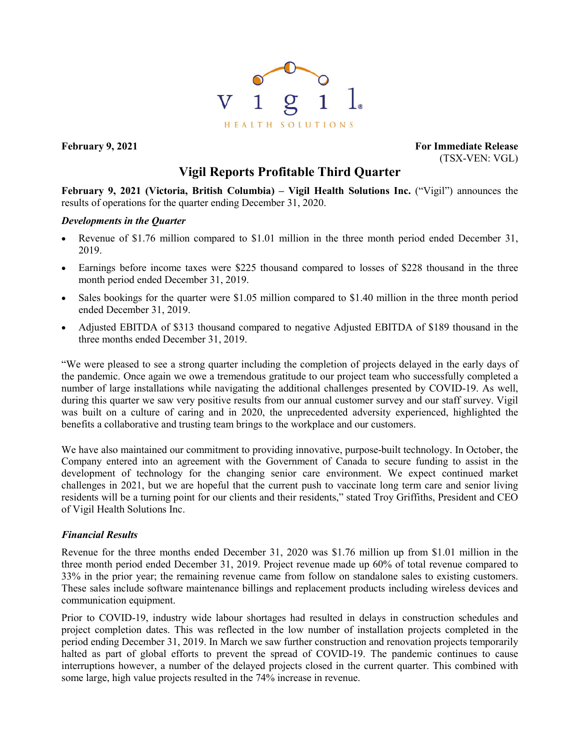

**February 9, 2021 For Immediate Release** (TSX-VEN: VGL)

# **Vigil Reports Profitable Third Quarter**

**February 9, 2021 (Victoria, British Columbia) – Vigil Health Solutions Inc.** ("Vigil") announces the results of operations for the quarter ending December 31, 2020.

### *Developments in the Quarter*

- Revenue of \$1.76 million compared to \$1.01 million in the three month period ended December 31, 2019.
- Earnings before income taxes were \$225 thousand compared to losses of \$228 thousand in the three month period ended December 31, 2019.
- Sales bookings for the quarter were \$1.05 million compared to \$1.40 million in the three month period ended December 31, 2019.
- Adjusted EBITDA of \$313 thousand compared to negative Adjusted EBITDA of \$189 thousand in the three months ended December 31, 2019.

"We were pleased to see a strong quarter including the completion of projects delayed in the early days of the pandemic. Once again we owe a tremendous gratitude to our project team who successfully completed a number of large installations while navigating the additional challenges presented by COVID-19. As well, during this quarter we saw very positive results from our annual customer survey and our staff survey. Vigil was built on a culture of caring and in 2020, the unprecedented adversity experienced, highlighted the benefits a collaborative and trusting team brings to the workplace and our customers.

We have also maintained our commitment to providing innovative, purpose-built technology. In October, the Company entered into an agreement with the Government of Canada to secure funding to assist in the development of technology for the changing senior care environment. We expect continued market challenges in 2021, but we are hopeful that the current push to vaccinate long term care and senior living residents will be a turning point for our clients and their residents," stated Troy Griffiths, President and CEO of Vigil Health Solutions Inc.

## *Financial Results*

Revenue for the three months ended December 31, 2020 was \$1.76 million up from \$1.01 million in the three month period ended December 31, 2019. Project revenue made up 60% of total revenue compared to 33% in the prior year; the remaining revenue came from follow on standalone sales to existing customers. These sales include software maintenance billings and replacement products including wireless devices and communication equipment.

Prior to COVID-19, industry wide labour shortages had resulted in delays in construction schedules and project completion dates. This was reflected in the low number of installation projects completed in the period ending December 31, 2019. In March we saw further construction and renovation projects temporarily halted as part of global efforts to prevent the spread of COVID-19. The pandemic continues to cause interruptions however, a number of the delayed projects closed in the current quarter. This combined with some large, high value projects resulted in the 74% increase in revenue.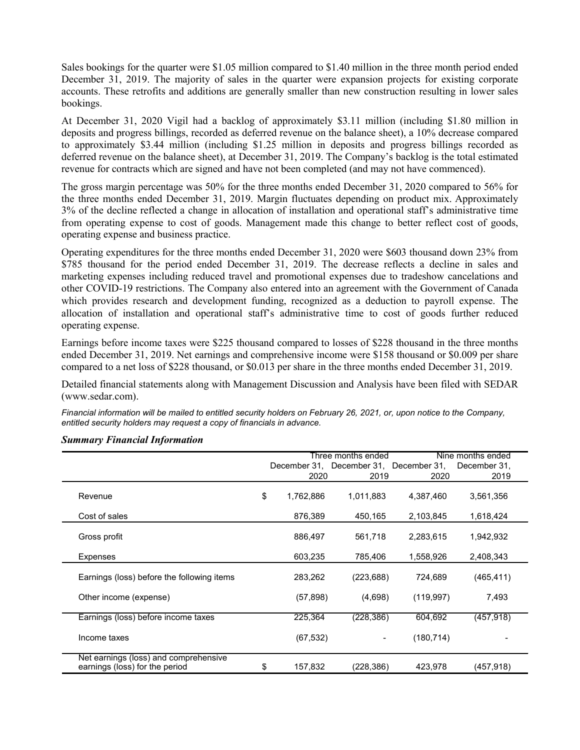Sales bookings for the quarter were \$1.05 million compared to \$1.40 million in the three month period ended December 31, 2019. The majority of sales in the quarter were expansion projects for existing corporate accounts. These retrofits and additions are generally smaller than new construction resulting in lower sales bookings.

At December 31, 2020 Vigil had a backlog of approximately \$3.11 million (including \$1.80 million in deposits and progress billings, recorded as deferred revenue on the balance sheet), a 10% decrease compared to approximately \$3.44 million (including \$1.25 million in deposits and progress billings recorded as deferred revenue on the balance sheet), at December 31, 2019. The Company's backlog is the total estimated revenue for contracts which are signed and have not been completed (and may not have commenced).

The gross margin percentage was 50% for the three months ended December 31, 2020 compared to 56% for the three months ended December 31, 2019. Margin fluctuates depending on product mix. Approximately 3% of the decline reflected a change in allocation of installation and operational staff's administrative time from operating expense to cost of goods. Management made this change to better reflect cost of goods, operating expense and business practice.

Operating expenditures for the three months ended December 31, 2020 were \$603 thousand down 23% from \$785 thousand for the period ended December 31, 2019. The decrease reflects a decline in sales and marketing expenses including reduced travel and promotional expenses due to tradeshow cancelations and other COVID-19 restrictions. The Company also entered into an agreement with the Government of Canada which provides research and development funding, recognized as a deduction to payroll expense. The allocation of installation and operational staff's administrative time to cost of goods further reduced operating expense.

Earnings before income taxes were \$225 thousand compared to losses of \$228 thousand in the three months ended December 31, 2019. Net earnings and comprehensive income were \$158 thousand or \$0.009 per share compared to a net loss of \$228 thousand, or \$0.013 per share in the three months ended December 31, 2019.

Detailed financial statements along with Management Discussion and Analysis have been filed with SEDAR (www.sedar.com).

*Financial information will be mailed to entitled security holders on February 26, 2021, or, upon notice to the Company, entitled security holders may request a copy of financials in advance.*

|                                                                         |                 | Three months ended                     |            | Nine months ended |  |  |
|-------------------------------------------------------------------------|-----------------|----------------------------------------|------------|-------------------|--|--|
|                                                                         |                 | December 31, December 31, December 31, |            | December 31.      |  |  |
|                                                                         | 2020            | 2019                                   | 2020       | 2019              |  |  |
| Revenue                                                                 | \$<br>1,762,886 | 1,011,883                              | 4,387,460  | 3,561,356         |  |  |
| Cost of sales                                                           | 876,389         | 450,165                                | 2,103,845  | 1,618,424         |  |  |
| Gross profit                                                            | 886,497         | 561,718                                | 2,283,615  | 1,942,932         |  |  |
| Expenses                                                                | 603,235         | 785,406                                | 1,558,926  | 2,408,343         |  |  |
| Earnings (loss) before the following items                              | 283,262         | (223, 688)                             | 724.689    | (465, 411)        |  |  |
| Other income (expense)                                                  | (57, 898)       | (4,698)                                | (119, 997) | 7,493             |  |  |
| Earnings (loss) before income taxes                                     | 225,364         | (228, 386)                             | 604,692    | (457, 918)        |  |  |
| Income taxes                                                            | (67, 532)       |                                        | (180, 714) |                   |  |  |
| Net earnings (loss) and comprehensive<br>earnings (loss) for the period | \$<br>157,832   | (228,386)                              | 423,978    | (457, 918)        |  |  |

#### *Summary Financial Information*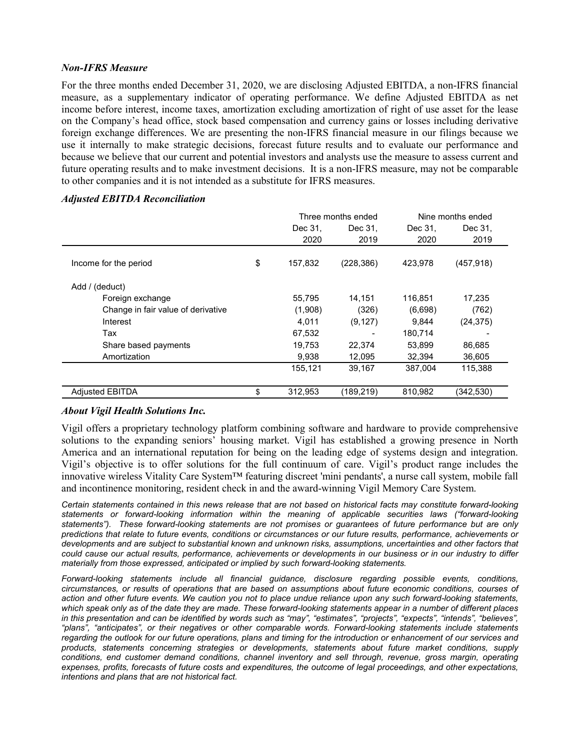## *Non-IFRS Measure*

For the three months ended December 31, 2020, we are disclosing Adjusted EBITDA, a non-IFRS financial measure, as a supplementary indicator of operating performance. We define Adjusted EBITDA as net income before interest, income taxes, amortization excluding amortization of right of use asset for the lease on the Company's head office, stock based compensation and currency gains or losses including derivative foreign exchange differences. We are presenting the non-IFRS financial measure in our filings because we use it internally to make strategic decisions, forecast future results and to evaluate our performance and because we believe that our current and potential investors and analysts use the measure to assess current and future operating results and to make investment decisions. It is a non-IFRS measure, may not be comparable to other companies and it is not intended as a substitute for IFRS measures.

|                                    |               | Three months ended | Nine months ended |            |
|------------------------------------|---------------|--------------------|-------------------|------------|
|                                    | Dec 31.       | Dec 31.            | Dec 31,           | Dec 31,    |
|                                    | 2020          | 2019               | 2020              | 2019       |
| Income for the period              | \$<br>157,832 | (228, 386)         | 423,978           | (457, 918) |
| Add / (deduct)                     |               |                    |                   |            |
| Foreign exchange                   | 55,795        | 14,151             | 116,851           | 17,235     |
| Change in fair value of derivative | (1,908)       | (326)              | (6,698)           | (762)      |
| Interest                           | 4,011         | (9, 127)           | 9.844             | (24, 375)  |
| Tax                                | 67,532        |                    | 180,714           |            |
| Share based payments               | 19,753        | 22,374             | 53,899            | 86,685     |
| Amortization                       | 9,938         | 12,095             | 32,394            | 36,605     |
|                                    | 155,121       | 39,167             | 387,004           | 115,388    |
| <b>Adjusted EBITDA</b>             | \$<br>312,953 | (189, 219)         | 810,982           | (342,530)  |

## *Adjusted EBITDA Reconciliation*

## *About Vigil Health Solutions Inc.*

Vigil offers a proprietary technology platform combining software and hardware to provide comprehensive solutions to the expanding seniors' housing market. Vigil has established a growing presence in North America and an international reputation for being on the leading edge of systems design and integration. Vigil's objective is to offer solutions for the full continuum of care. Vigil's product range includes the innovative wireless Vitality Care System™ featuring discreet 'mini pendants', a nurse call system, mobile fall and incontinence monitoring, resident check in and the award-winning Vigil Memory Care System.

*Certain statements contained in this news release that are not based on historical facts may constitute forward-looking statements or forward-looking information within the meaning of applicable securities laws ("forward-looking statements"). These forward-looking statements are not promises or guarantees of future performance but are only predictions that relate to future events, conditions or circumstances or our future results, performance, achievements or developments and are subject to substantial known and unknown risks, assumptions, uncertainties and other factors that could cause our actual results, performance, achievements or developments in our business or in our industry to differ materially from those expressed, anticipated or implied by such forward-looking statements.*

*Forward-looking statements include all financial guidance, disclosure regarding possible events, conditions, circumstances, or results of operations that are based on assumptions about future economic conditions, courses of action and other future events. We caution you not to place undue reliance upon any such forward-looking statements, which speak only as of the date they are made. These forward-looking statements appear in a number of different places in this presentation and can be identified by words such as "may", "estimates", "projects", "expects", "intends", "believes", "plans", "anticipates", or their negatives or other comparable words. Forward-looking statements include statements regarding the outlook for our future operations, plans and timing for the introduction or enhancement of our services and products, statements concerning strategies or developments, statements about future market conditions, supply conditions, end customer demand conditions, channel inventory and sell through, revenue, gross margin, operating expenses, profits, forecasts of future costs and expenditures, the outcome of legal proceedings, and other expectations, intentions and plans that are not historical fact.*